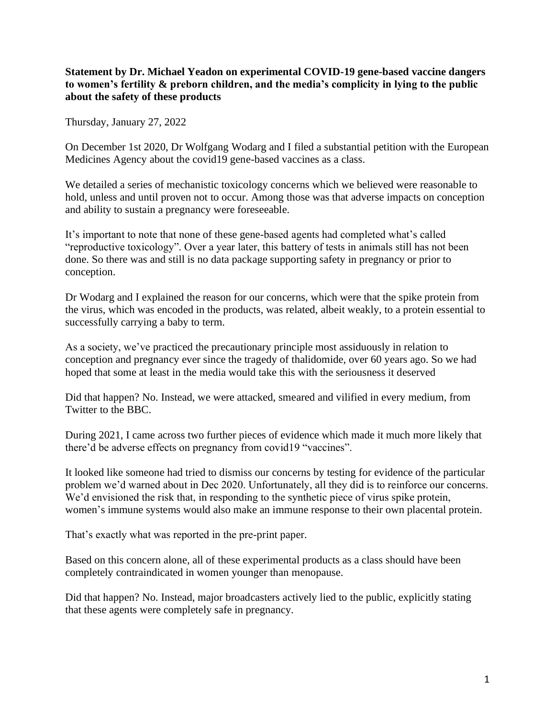## **Statement by Dr. Michael Yeadon on experimental COVID-19 gene-based vaccine dangers to women's fertility & preborn children, and the media's complicity in lying to the public about the safety of these products**

Thursday, January 27, 2022

On December 1st 2020, Dr Wolfgang Wodarg and I filed a substantial petition with the European Medicines Agency about the covid19 gene-based vaccines as a class.

We detailed a series of mechanistic toxicology concerns which we believed were reasonable to hold, unless and until proven not to occur. Among those was that adverse impacts on conception and ability to sustain a pregnancy were foreseeable.

It's important to note that none of these gene-based agents had completed what's called "reproductive toxicology". Over a year later, this battery of tests in animals still has not been done. So there was and still is no data package supporting safety in pregnancy or prior to conception.

Dr Wodarg and I explained the reason for our concerns, which were that the spike protein from the virus, which was encoded in the products, was related, albeit weakly, to a protein essential to successfully carrying a baby to term.

As a society, we've practiced the precautionary principle most assiduously in relation to conception and pregnancy ever since the tragedy of thalidomide, over 60 years ago. So we had hoped that some at least in the media would take this with the seriousness it deserved

Did that happen? No. Instead, we were attacked, smeared and vilified in every medium, from Twitter to the BBC.

During 2021, I came across two further pieces of evidence which made it much more likely that there'd be adverse effects on pregnancy from covid19 "vaccines".

It looked like someone had tried to dismiss our concerns by testing for evidence of the particular problem we'd warned about in Dec 2020. Unfortunately, all they did is to reinforce our concerns. We'd envisioned the risk that, in responding to the synthetic piece of virus spike protein, women's immune systems would also make an immune response to their own placental protein.

That's exactly what was reported in the pre-print paper.

Based on this concern alone, all of these experimental products as a class should have been completely contraindicated in women younger than menopause.

Did that happen? No. Instead, major broadcasters actively lied to the public, explicitly stating that these agents were completely safe in pregnancy.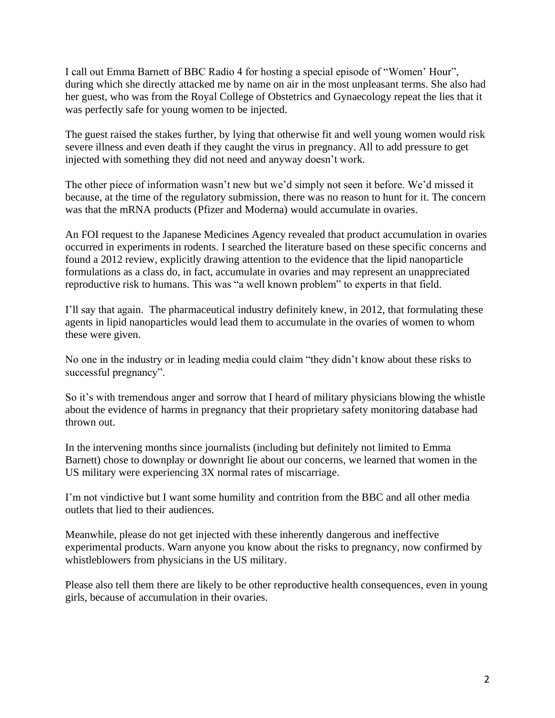I call out Emma Barnett of BBC Radio 4 for hosting a special episode of "Women' Hour", during which she directly attacked me by name on air in the most unpleasant terms. She also had her guest, who was from the Royal College of Obstetrics and Gynaecology repeat the lies that it was perfectly safe for young women to be injected.

The guest raised the stakes further, by lying that otherwise fit and well young women would risk severe illness and even death if they caught the virus in pregnancy. All to add pressure to get injected with something they did not need and anyway doesn't work.

The other piece of information wasn't new but we'd simply not seen it before. We'd missed it because, at the time of the regulatory submission, there was no reason to hunt for it. The concern was that the mRNA products (Pfizer and Moderna) would accumulate in ovaries.

An FOI request to the Japanese Medicines Agency revealed that product accumulation in ovaries occurred in experiments in rodents. I searched the literature based on these specific concerns and found a 2012 review, explicitly drawing attention to the evidence that the lipid nanoparticle formulations as a class do, in fact, accumulate in ovaries and may represent an unappreciated reproductive risk to humans. This was "a well known problem" to experts in that field.

I'll say that again. The pharmaceutical industry definitely knew, in 2012, that formulating these agents in lipid nanoparticles would lead them to accumulate in the ovaries of women to whom these were given.

No one in the industry or in leading media could claim "they didn't know about these risks to successful pregnancy".

So it's with tremendous anger and sorrow that I heard of military physicians blowing the whistle about the evidence of harms in pregnancy that their proprietary safety monitoring database had thrown out.

In the intervening months since journalists (including but definitely not limited to Emma Barnett) chose to downplay or downright lie about our concerns, we learned that women in the US military were experiencing 3X normal rates of miscarriage.

I'm not vindictive but I want some humility and contrition from the BBC and all other media outlets that lied to their audiences.

Meanwhile, please do not get injected with these inherently dangerous and ineffective experimental products. Warn anyone you know about the risks to pregnancy, now confirmed by whistleblowers from physicians in the US military.

Please also tell them there are likely to be other reproductive health consequences, even in young girls, because of accumulation in their ovaries.